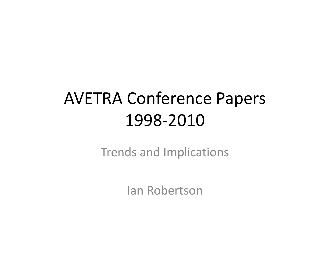# AVETRA Conference Papers1998-2010

Trends and Implications

Ian Robertson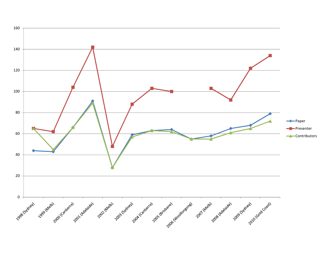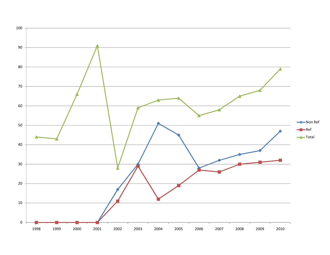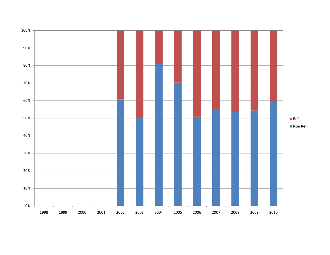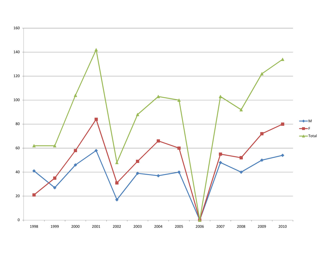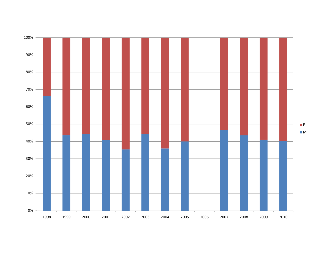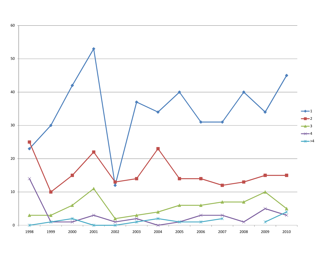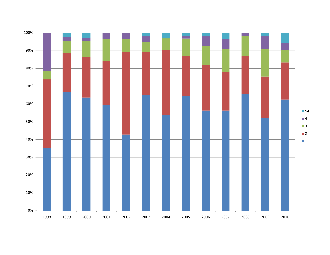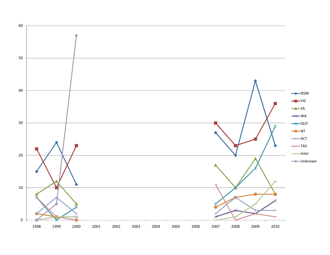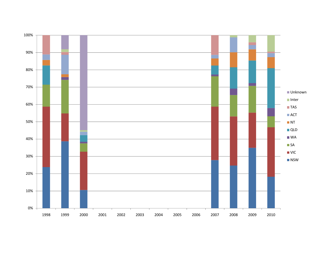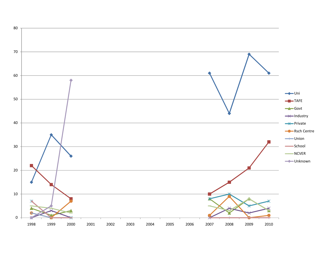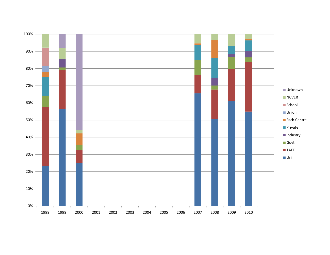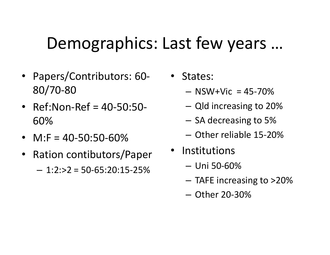## Demographics: Last few years …

- Papers/Contributors: 60- 80/70-80
- Ref:Non-Ref = 40-50:50- 60%
- $M:$  F = 40-50:50-60%
- Ration contibutors/Paper  $-1:2:>2 = 50-65:20:15-25\%$
- • States:
	- $-$  NSW+Vic = 45-70%
	- $-$  Qld increasing to 20%
	- $-$  SA decreasing to 5%
	- Other reliable 15-20%
- Institutions
	- Uni 50-60%
	- TAFE increasing to >20%
	- Other 20-30%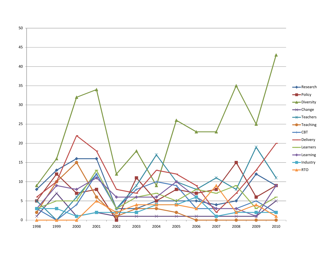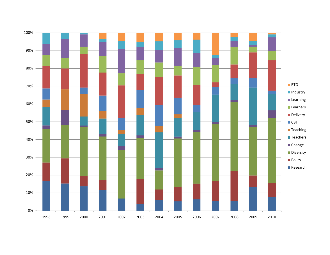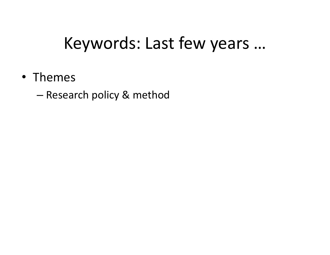## Keywords: Last few years …

- Themes
	- Research policy & method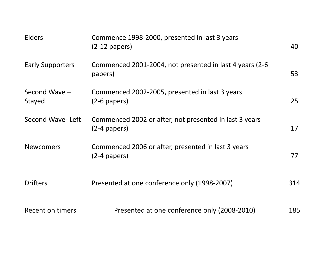| <b>Elders</b>           | Commence 1998-2000, presented in last 3 years<br>$(2-12$ papers)         | 40  |
|-------------------------|--------------------------------------------------------------------------|-----|
| <b>Early Supporters</b> | Commenced 2001-2004, not presented in last 4 years (2-6)<br>papers)      | 53  |
| Second Wave -<br>Stayed | Commenced 2002-2005, presented in last 3 years<br>$(2-6$ papers)         | 25  |
| Second Wave-Left        | Commenced 2002 or after, not presented in last 3 years<br>$(2-4$ papers) | 17  |
| <b>Newcomers</b>        | Commenced 2006 or after, presented in last 3 years<br>$(2-4$ papers)     | 77  |
| <b>Drifters</b>         | Presented at one conference only (1998-2007)                             | 314 |
| Recent on timers        | Presented at one conference only (2008-2010)                             | 185 |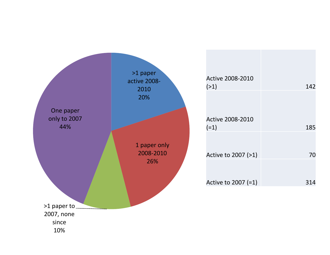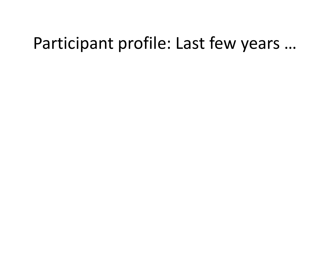### Participant profile: Last few years …